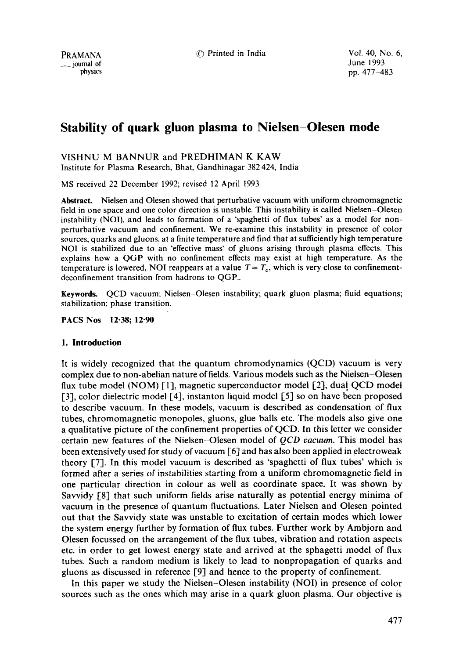# **Stability of quark gluon plasma to Nielsen-Olesen mode**

VISHNU M BANNUR and PREDHIMAN K KAW

Institute for Plasma Research, Bhat, Gandhinagar 382 424, India

MS received 22 December 1992; revised 12 April 1993

Abstract. Nielsen and Olesen showed that perturbative vacuum with uniform chromomagnetic field in one space and one color direction is unstable. This instability is called Nielsen-Olesen instability (NOI), and leads to formation of a 'spaghetti of flux tubes' as a model for nonperturbative vacuum and confinement. We re-examine this instability in presence of color sources, quarks and gluons, at a finite temperature and find that at sufficiently high temperature NOI is stabilized due to an 'effective mass' of gluons arising through plasma effects. This explains how a QGP with no confinement effects may exist at high temperature. As the temperature is lowered, NOI reappears at a value  $T = T_c$ , which is very close to confinementdeconfinement transition from hadrons to QGP..

Keywords. QCD vacuum; Nielsen-Olesen instability; quark gluon plasma; fluid equations; stabilization; phase transition.

**PACS Nos 12-38; 12-90** 

# **I. Introduction**

It is widely recognized that the quantum chromodynamics (QCD) vacuum is very complex due to non-abelian nature of fields. Various models such as the Nielsen-Olesen flux tube model (NOM) [1], magnetic superconductor model [2], dual QCD model  $[3]$ , color dielectric model  $[4]$ , instanton liquid model  $[5]$  so on have been proposed to describe vacuum. In these models, vacuum is described as condensation of flux tubes, chromomagnetic monopoles, gluons, glue balls etc. The models also give one a qualitative picture of the confinement properties of QCD. In this letter we consider certain new features of the Nielsen-Olesen model of *QCD vacuum.* This model has been extensively used for study of vacuum  $\lceil 6 \rceil$  and has also been applied in electroweak theory [7]. In this model vacuum is described as 'spaghetti of flux tubes' which is formed after a series of instabilities starting from a uniform chromomagnetic field in one particular direction in colour as well as coordinate space. It was shown by Savvidy [8] that such uniform fields arise naturally as potential energy minima of vacuum in the presence of quantum fluctuations. Later Nielsen and Olesen pointed out that the Savvidy state was unstable to excitation of certain modes which lower the system energy further by formation of flux tubes. Further work by Ambjorn and Olesen focussed on the arrangement of the flux tubes, vibration and rotation aspects etc. in order to get lowest energy state and arrived at the sphagetti model of flux tubes. Such a random medium is likely to lead to nonpropagation of quarks and gluons as discussed in reference [9] and hence to the property of confinement.

In this paper we study the Nielsen-Olesen instability (NOI) in presence of color sources such as the ones which may arise in a quark gluon plasma. Our objective is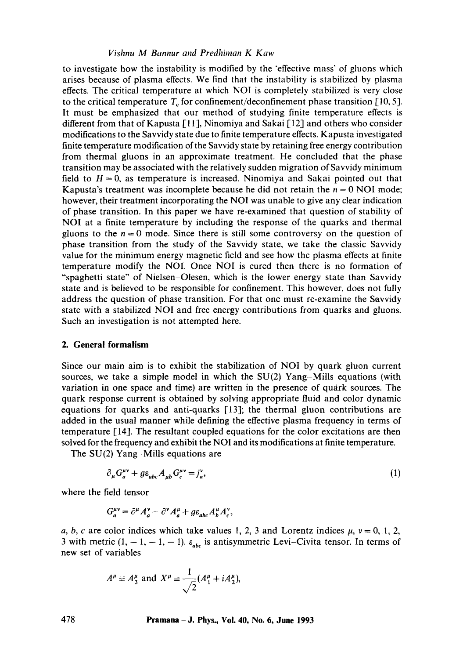# *Vishnu M Bannur and Predhiman K Kaw*

to investigate how the instability is modified by the "effective mass" of gluons which arises because of plasma effects. We find that the instability is stabilized by plasma effects. The critical temperature at which NOI is completely stabilized is very close to the critical temperature  $T_c$  for confinement/deconfinement phase transition [10, 5]. It must be emphasized that our method of studying finite temperature effects is different from that of Kapusta [11], Ninomiya and Sakai [12] and others who consider modifications to the Savvidy state due to finite temperature effects. Kapusta investigated finite temperature modification of the Savvidy state by retaining free energy contribution from thermal gluons in an approximate treatment. He concluded that the phase transition may be associated with the relatively sudden migration of Savvidy minimum field to  $H = 0$ , as temperature is increased. Ninomiya and Sakai pointed out that Kapusta's treatment was incomplete because he did not retain the  $n = 0$  NOI mode; however, their treatment incorporating the NOI was unable to give any clear indication of phase transition. In this paper we have re-examined that question of stability of NOI at a finite temperature by including the response of the quarks and thermal gluons to the  $n = 0$  mode. Since there is still some controversy on the question of phase transition from the study of the Savvidy state, we take the classic Savvidy value for the minimum energy magnetic field and see how the plasma effects at finite temperature modify the NOI. Once NOI is cured then there is no formation of "spaghetti state" of Nielsen-Olesen, which is the lower energy state than Savvidy state and is believed to be responsible for confinement. This however, does not fully address the question of phase transition. For that one must re-examine the Savvidy state with a stabilized NOI and free energy contributions from quarks and gluons. Such an investigation is not attempted here.

# **2. General formalism**

Since our main aim is to exhibit the stabilization of NOI by quark gluon current sources, we take a simple model in which the  $SU(2)$  Yang-Mills equations (with variation in one space and time) are written in the presence of quark sources. The quark response current is obtained by solving appropriate fluid and color dynamic equations for quarks and anti-quarks [13]; the thermal gluon contributions are added in the usual manner while defining the effective plasma frequency in terms of temperature [14]. The resultant coupled equations for the color excitations are then solved for the frequency and exhibit the NOI and its modifications at finite temperature.

The SU(2) Yang-Mills equations are

$$
\partial_{\mu} G_{a}^{\mu\nu} + g \varepsilon_{abc} A_{\mu b} G_{c}^{\mu\nu} = j_{a}^{\nu},\tag{1}
$$

where the field tensor

$$
G_a^{\mu\nu} = \partial^\mu A_a^\nu - \partial^\nu A_a^\mu + g \varepsilon_{abc} A_b^\mu A_c^\nu,
$$

a, b, c are color indices which take values 1, 2, 3 and Lorentz indices  $\mu$ ,  $\nu = 0, 1, 2,$ 3 with metric  $(1, -1, -1, -1)$ .  $\varepsilon_{abc}$  is antisymmetric Levi-Civita tensor. In terms of new set of variables

$$
A^{\mu} \equiv A_3^{\mu}
$$
 and  $X^{\mu} \equiv \frac{1}{\sqrt{2}} (A_1^{\mu} + iA_2^{\mu}),$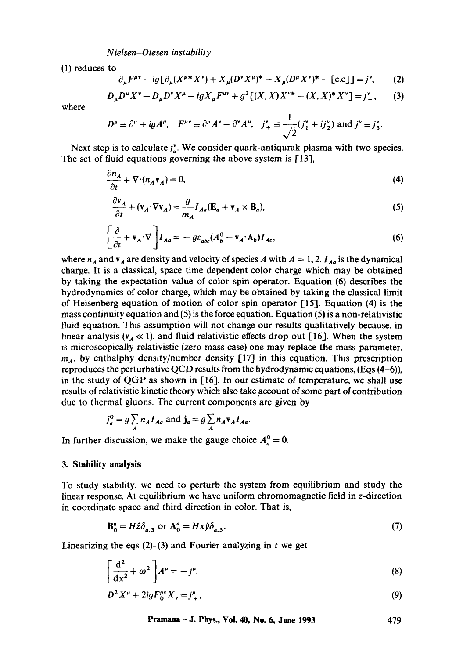*N ielsen-Olesen instability* 

(1) reduces to

$$
\partial_{\mu} F^{\mu\nu} - ig \big[ \partial_{\mu} (X^{\mu *} X^{\nu}) + X_{\mu} (D^{\nu} X^{\mu})^* - X_{\mu} (D^{\mu} X^{\nu})^* - [c.c] \big] = j^{\nu}, \qquad (2)
$$

$$
D_{\mu}D^{\mu}X^{\nu} - D_{\mu}D^{\nu}X^{\mu} - igX_{\mu}F^{\mu\nu} + g^{2}[(X,X)X^{\nu*} - (X,X)^{*}X^{\nu}] = j_{+}^{\nu}, \qquad (3)
$$

where

$$
D^{\mu} \equiv \partial^{\mu} + i g A^{\mu}, \quad F^{\mu\nu} \equiv \partial^{\mu} A^{\nu} - \partial^{\nu} A^{\mu}, \quad j^{\nu}_{+} \equiv \frac{1}{\sqrt{2}} (j^{\nu}_{1} + i j^{\nu}_{2}) \text{ and } j^{\nu} \equiv j^{\nu}_{3}.
$$

Next step is to calculate  $j_e^*$ . We consider quark-antiqurak plasma with two species. The set of fluid equations governing the above system is [13],

$$
\frac{\partial n_A}{\partial t} + \nabla \cdot (n_A \mathbf{v}_A) = 0,\tag{4}
$$

$$
\frac{\partial \mathbf{v}_A}{\partial t} + (\mathbf{v}_A \cdot \nabla \mathbf{v}_A) = \frac{g}{m_A} I_{Aa} (\mathbf{E}_a + \mathbf{v}_A \times \mathbf{B}_a),
$$
 (5)

$$
\left[\frac{\partial}{\partial t} + \mathbf{v}_A \cdot \nabla\right] I_{Aa} = -g\varepsilon_{abc} (A_b^0 - \mathbf{v}_A \cdot \mathbf{A}_b) I_{Ac},\tag{6}
$$

where  $n_A$  and  $v_A$  are density and velocity of species A with  $A = 1, 2$ .  $I_{Ag}$  is the dynamical charge. It is a classical, space time dependent color charge which may be obtained by taking the expectation value of color spin operator. Equation (6) describes the hydrodynamics of color charge, which may be obtained by taking the classical limit of Heisenberg equation of motion of color spin operator [15]. Equation (4) is the mass continuity equation and  $(5)$  is the force equation. Equation  $(5)$  is a non-relativistic fluid equation. This assumption will not change our results qualitatively because, in linear analysis ( $v_A \ll 1$ ), and fluid relativistic effects drop out [16]. When the system is microscopically relativistic (zero mass case) one may replace the mass parameter,  $m_A$ , by enthalphy density/number density [17] in this equation. This prescription reproduces the perturbative QCD results from the hydrodynamic equations, (Eqs (4-6)), in the study of QGP as shown in [16]. In our estimate of temperature, we shall use results of relativistic kinetic theory which also take account of some part of contribution due to thermal gluons. The current components are given by

$$
j_a^0 = g \sum_A n_A I_{Aa} \text{ and } \mathbf{j}_a = g \sum_A n_A \mathbf{v}_A I_{Aa}.
$$

In further discussion, we make the gauge choice  $A_a^0 = 0$ .

## **3. Stability analysis**

To study stability, we need to perturb the system from equilibrium and study the linear response. At equilibrium we have uniform chromomagnetic field in z-direction in coordinate space and third direction in color. That is,

$$
\mathbf{B}_0^a = H\hat{z}\delta_{a,3} \text{ or } \mathbf{A}_0^a = Hx\hat{\gamma}\delta_{a,3}.\tag{7}
$$

Linearizing the eqs  $(2)$ - $(3)$  and Fourier analyzing in t we get

$$
\left[\frac{\mathrm{d}^2}{\mathrm{d}x^2} + \omega^2\right]A^\mu = -j^\mu. \tag{8}
$$

$$
D^2 X^{\mu} + 2igF_0^{\mu\nu} X_{\nu} = j^{\mu}_+, \tag{9}
$$

**Pramana -J. Phys., Voi. 40, No. 6, June 1993 479**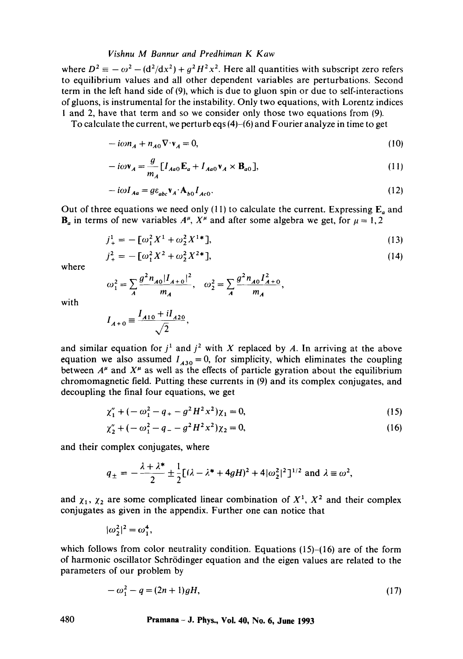#### *Vishnu M Bannur and Predhiman K Kaw*

where  $D^2 \equiv -\omega^2 - (d^2/dx^2) + q^2H^2x^2$ . Here all quantities with subscript zero refers to equilibrium values and all other dependent variables are perturbations. Second term in the left hand side of (9), which is due to gluon spin or due to self-interactions ofgluons, is instrumental for the instability. Only two equations, with Lorentz indices I and 2, have that term and so we consider only those two equations from (9).

To calculate the current, we perturb eqs (4)-(6) and Fourier analyze in time to get

$$
-i\omega n_A + n_{A0}\nabla \cdot \mathbf{v}_A = 0,\tag{10}
$$

$$
-i\omega \mathbf{v}_A = \frac{g}{m_A} \left[ I_{Aa0} \mathbf{E}_a + I_{Aa0} \mathbf{v}_A \times \mathbf{B}_{a0} \right],\tag{11}
$$

$$
-i\omega I_{Aa} = g\varepsilon_{abc} \mathbf{v}_A \cdot \mathbf{A}_{b0} I_{Ac0}.
$$
 (12)

Out of three equations we need only (11) to calculate the current. Expressing  $E_a$  and  $\mathbf{B}_a$  in terms of new variables  $A^\mu$ ,  $X^\mu$  and after some algebra we get, for  $\mu = 1, 2$ 

$$
j_{+}^{1} = -\left[\omega_{1}^{2}X^{1} + \omega_{2}^{2}X^{1*}\right],\tag{13}
$$

$$
j_{+}^{2} = -\left[\omega_{1}^{2}X^{2} + \omega_{2}^{2}X^{2*}\right],\tag{14}
$$

where

$$
\omega_1^2 = \sum_A \frac{g^2 n_{A0} |I_{A+0}|^2}{m_A}, \quad \omega_2^2 = \sum_A \frac{g^2 n_{A0} I_{A+0}^2}{m_A},
$$

with

$$
I_{A+0} \equiv \frac{I_{A10} + iI_{A20}}{\sqrt{2}},
$$

and similar equation for  $j^1$  and  $j^2$  with X replaced by A. In arriving at the above equation we also assumed  $I_{A30} = 0$ , for simplicity, which eliminates the coupling between  $A^{\mu}$  and  $X^{\mu}$  as well as the effects of particle gyration about the equilibrium chromomagnetic field. Putting these currents in (9) and its complex conjugates, and decoupling the final four equations, we get

$$
\chi_1'' + (-\omega_1^2 - q_+ - g^2 H^2 x^2) \chi_1 = 0, \tag{15}
$$

$$
\chi_2'' + (-\omega_1^2 - q_- - g^2 H^2 x^2) \chi_2 = 0, \tag{16}
$$

and their complex conjugates, where

$$
q_{\pm} = -\frac{\lambda + \lambda^*}{2} \pm \frac{1}{2} [(\lambda - \lambda^* + 4gH)^2 + 4|\omega_2^2|^2]^{1/2} \text{ and } \lambda \equiv \omega^2,
$$

and  $\chi_1$ ,  $\chi_2$  are some complicated linear combination of  $X^1$ ,  $X^2$  and their complex conjugates as given in the appendix. Further one can notice that

$$
|\omega_2^2|^2 = \omega_1^4,
$$

which follows from color neutrality condition. Equations  $(15)$ - $(16)$  are of the form of harmonic oscillator Schr6dinger equation and the eigen values are related to the parameters of our problem by

$$
-\omega_1^2 - q = (2n+1)gH,\tag{17}
$$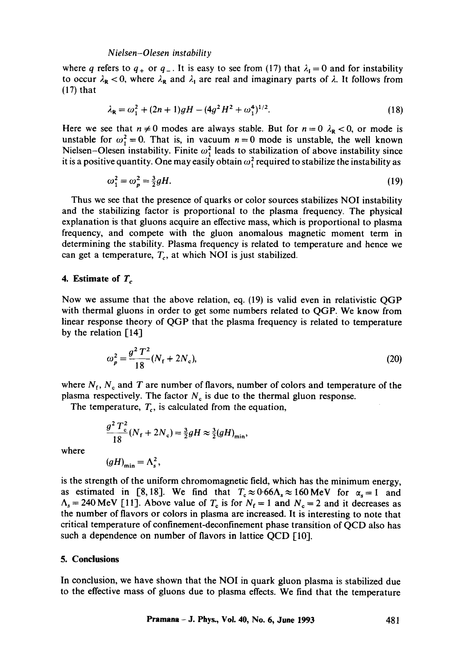#### *N ielsen-Olesen instability*

where q refers to  $q_+$  or  $q_-$ . It is easy to see from (17) that  $\lambda_1 = 0$  and for instability to occur  $\lambda_{\rm R}$  < 0, where  $\lambda_{\rm R}$  and  $\lambda_{\rm I}$  are real and imaginary parts of  $\lambda$ . It follows from (17) that

$$
\lambda_{\mathbf{R}} = \omega_1^2 + (2n+1)gH - (4g^2H^2 + \omega_1^4)^{1/2}.
$$
 (18)

Here we see that  $n \neq 0$  modes are always stable. But for  $n = 0$   $\lambda_R < 0$ , or mode is unstable for  $\omega_1^2 = 0$ . That is, in vacuum  $n = 0$  mode is unstable, the well known Nielsen-Olesen instability. Finite  $\omega_1^2$  leads to stabilization of above instability since it is a positive quantity. One may easily obtain  $\omega_1^2$  required to stabilize the instability as

$$
\omega_1^2 = \omega_p^2 = \frac{3}{2}gH.\tag{19}
$$

Thus we see that the presence of quarks or color sources stabilizes NOI instability and the stabilizing factor is proportional to the plasma frequency. The physical explanation is that gluons acquire an effective mass, which is proportional to plasma frequency, and compete with the gluon anomalous magnetic moment term in determining the stability. Plasma frequency is related to temperature and hence we can get a temperature,  $T_c$ , at which NOI is just stabilized.

#### **4.** Estimate of  $T_c$

Now we assume that the above relation, eq. (19) is valid even in relativistic QGP with thermal gluons in order to get some numbers related to QGP. We know from linear response theory of QGP that the plasma frequency is related to temperature by the relation  $[14]$ 

$$
\omega_p^2 = \frac{g^2 T^2}{18} (N_f + 2N_c),\tag{20}
$$

where  $N_f$ ,  $N_c$  and T are number of flavors, number of colors and temperature of the plasma respectively. The factor  $N<sub>c</sub>$  is due to the thermal gluon response.

The temperature,  $T_c$ , is calculated from the equation,

 $\frac{1}{18} (N_f + 2N_c) = \frac{3}{2} gH \approx \frac{3}{2} (gH)_{\min}$ 

where

$$
(gH)_{\min} = \Lambda_s^2,
$$

 $g^2 T_{c_{iN}}^2$ 

is the strength of the uniform chromomagnetic field, which has the minimum energy, as estimated in [8,18]. We find that  $T_c \approx 0.66 \Lambda_s \approx 160 \text{ MeV}$  for  $\alpha_s = 1$  and  $\Lambda_s = 240 \text{ MeV}$  [11]. Above value of  $T_c$  is for  $N_f = 1$  and  $N_c = 2$  and it decreases as the number of flavors or colors in plasma are increased. It is interesting to note that critical temperature of confinement-deconfinement phase transition of QCD also has such a dependence on number of flavors in lattice QCD [10].

#### **5. Conclusions**

In conclusion, we have shown that the NOI in quark gluon plasma is stabilized due to the effective mass of gluons due to plasma effects. We find that the temperature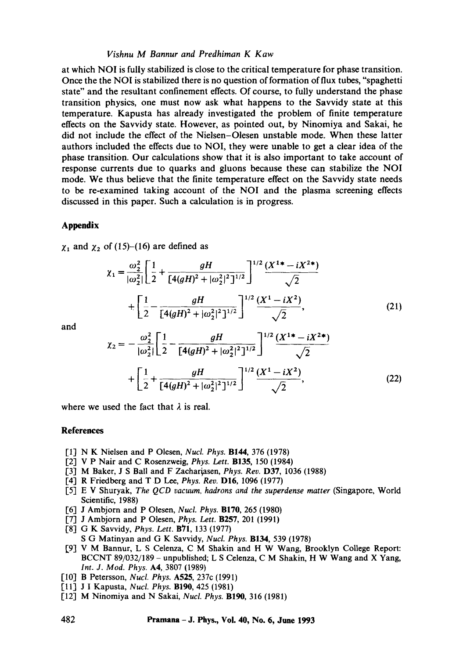# *Vishnu M Bannur and Predhiman K Kaw*

at which NOI is fully stabilized is close to the critical temperature for phase transition. Once the the NOI is stabilized there is no question of formation of flux tubes, "spaghetti state" and the resultant confinement effects. Of course, to fully understand the phase transition physics, one must now ask what happens to the Savvidy state at this temperature. Kapusta has already investigated the problem of finite temperature effects on the Savvidy state. However, as pointed out, by Ninomiya and Sakai, he did not include the effect of the Nielsen-Olesen unstable mode. When these latter authors included the effects due to NOI, they were unable to get a clear idea of the phase transition. Our calculations show that it is also important to take account of response currents due to quarks and gluons because these can stabilize the NOI mode. We thus believe that the finite temperature effect on the Savvidy state needs to be re-examined taking account of the NOI and the plasma screening effects discussed in this paper. Such a calculation is in progress.

# **Appendix**

 $\chi_1$  and  $\chi_2$  of (15)-(16) are defined as

$$
\chi_{1} = \frac{\omega_{2}^{2}}{|\omega_{2}^{2}|} \left[ \frac{1}{2} + \frac{gH}{[4(gH)^{2} + |\omega_{2}^{2}|^{2}]^{1/2}} \right]^{1/2} \frac{(X^{1} + -iX^{2}*)}{\sqrt{2}}
$$
  
+ 
$$
\left[ \frac{1}{2} - \frac{gH}{[4(gH)^{2} + |\omega_{2}^{2}|^{2}]^{1/2}} \right]^{1/2} \frac{(X^{1} - iX^{2})}{\sqrt{2}},
$$
(21)

and

$$
\chi_2 = -\frac{\omega_2^2}{|\omega_2^2|} \left[ \frac{1}{2} - \frac{gH}{[4(gH)^2 + |\omega_2^2|^2]^{1/2}} \right]^{1/2} \frac{(X^{1*} - iX^{2*})}{\sqrt{2}}
$$
  
+ 
$$
\left[ \frac{1}{2} + \frac{gH}{[4(gH)^2 + |\omega_2^2|^2]^{1/2}} \right]^{1/2} \frac{(X^1 - iX^2)}{\sqrt{2}},
$$
(22)

where we used the fact that  $\lambda$  is real.

#### **References**

- [I] N K Nielsen and P Olesen, *NucL Phys.* B144, 376 (1978)
- [2] V P Nair and C Rosenzweig, *Phys. Lett.* B135, 150 (1984)
- [3] M Baker, J S Ball and F Zachariasen, *Phys. Rev.* **D37**, 1036 (1988)
- [4] R Friedberg and T D Lee, *Phys. Rev.* DI6, 1096 (1977)
- [5] E V Shuryak, *The QCD vacuum, hadrons and the superdense matter* (Singapore, World Scientific, 1988)
- [6] J Ambjorn and P Olesen, *NucL Phys.* BIT0, 265 (1980)
- [7] J Ambjorn and P Olesen, *Phys. Lett.* B257, 201 (1991)
- [8] G K Savvidy, *Phys. Lett.* **B71**, 133 (1977)
- S G Matinyan and G K Savvidy, *Nucl. Phys.* B134, 539 (1978)
- [9] V M Bannur, L S Celenza, C M Shakin and H W Wang, Brooklyn College Report: BCCNT 89/032/189 - unpublished; **L S Celenza, C M Shakin, H W** Wang and X Yang, *Int. J. Mod. Phys.* A4, 3807 (1989)
- [10] B Petersson, *Nucl. Phys.* A525, 237c (1991)
- [11] J I Kapusta, *Nucl. Phys.* BIg0, 425 (1981)
- [12] M Ninomiya and N Sakai, *Nucl. Phys.* B190, 316 (1981)